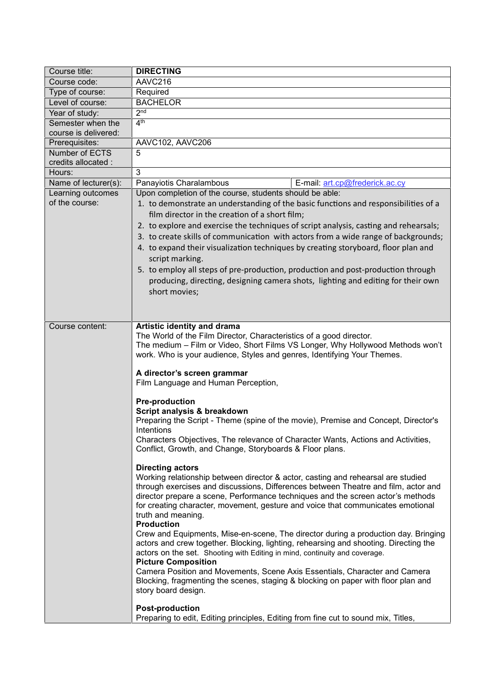| Course title:                       | <b>DIRECTING</b>                                                                                                                                                                                                                                                                                                                                                                                                                                                                                                                                                                                                                                                                                                                                                                                                                                                                                       |
|-------------------------------------|--------------------------------------------------------------------------------------------------------------------------------------------------------------------------------------------------------------------------------------------------------------------------------------------------------------------------------------------------------------------------------------------------------------------------------------------------------------------------------------------------------------------------------------------------------------------------------------------------------------------------------------------------------------------------------------------------------------------------------------------------------------------------------------------------------------------------------------------------------------------------------------------------------|
| Course code:                        | AAVC216                                                                                                                                                                                                                                                                                                                                                                                                                                                                                                                                                                                                                                                                                                                                                                                                                                                                                                |
| Type of course:                     | Required                                                                                                                                                                                                                                                                                                                                                                                                                                                                                                                                                                                                                                                                                                                                                                                                                                                                                               |
| Level of course:                    | <b>BACHELOR</b>                                                                                                                                                                                                                                                                                                                                                                                                                                                                                                                                                                                                                                                                                                                                                                                                                                                                                        |
| Year of study:                      | 2 <sub>nd</sub>                                                                                                                                                                                                                                                                                                                                                                                                                                                                                                                                                                                                                                                                                                                                                                                                                                                                                        |
| Semester when the                   | 4 <sup>th</sup>                                                                                                                                                                                                                                                                                                                                                                                                                                                                                                                                                                                                                                                                                                                                                                                                                                                                                        |
| course is delivered:                |                                                                                                                                                                                                                                                                                                                                                                                                                                                                                                                                                                                                                                                                                                                                                                                                                                                                                                        |
| Prerequisites:                      | AAVC102, AAVC206                                                                                                                                                                                                                                                                                                                                                                                                                                                                                                                                                                                                                                                                                                                                                                                                                                                                                       |
| Number of ECTS                      | 5                                                                                                                                                                                                                                                                                                                                                                                                                                                                                                                                                                                                                                                                                                                                                                                                                                                                                                      |
| credits allocated :                 |                                                                                                                                                                                                                                                                                                                                                                                                                                                                                                                                                                                                                                                                                                                                                                                                                                                                                                        |
| Hours:                              | 3                                                                                                                                                                                                                                                                                                                                                                                                                                                                                                                                                                                                                                                                                                                                                                                                                                                                                                      |
| Name of lecturer(s):                | Panayiotis Charalambous<br>E-mail: art.cp@frederick.ac.cy                                                                                                                                                                                                                                                                                                                                                                                                                                                                                                                                                                                                                                                                                                                                                                                                                                              |
| Learning outcomes<br>of the course: | Upon completion of the course, students should be able:<br>1. to demonstrate an understanding of the basic functions and responsibilities of a<br>film director in the creation of a short film;<br>2. to explore and exercise the techniques of script analysis, casting and rehearsals;<br>3. to create skills of communication with actors from a wide range of backgrounds;<br>4. to expand their visualization techniques by creating storyboard, floor plan and<br>script marking.<br>5. to employ all steps of pre-production, production and post-production through<br>producing, directing, designing camera shots, lighting and editing for their own<br>short movies;                                                                                                                                                                                                                      |
| Course content:                     | Artistic identity and drama                                                                                                                                                                                                                                                                                                                                                                                                                                                                                                                                                                                                                                                                                                                                                                                                                                                                            |
|                                     | The World of the Film Director, Characteristics of a good director.<br>The medium - Film or Video, Short Films VS Longer, Why Hollywood Methods won't<br>work. Who is your audience, Styles and genres, Identifying Your Themes.<br>A director's screen grammar<br>Film Language and Human Perception,                                                                                                                                                                                                                                                                                                                                                                                                                                                                                                                                                                                                 |
|                                     |                                                                                                                                                                                                                                                                                                                                                                                                                                                                                                                                                                                                                                                                                                                                                                                                                                                                                                        |
|                                     | <b>Pre-production</b>                                                                                                                                                                                                                                                                                                                                                                                                                                                                                                                                                                                                                                                                                                                                                                                                                                                                                  |
|                                     | Script analysis & breakdown                                                                                                                                                                                                                                                                                                                                                                                                                                                                                                                                                                                                                                                                                                                                                                                                                                                                            |
|                                     | Preparing the Script - Theme (spine of the movie), Premise and Concept, Director's<br>Intentions                                                                                                                                                                                                                                                                                                                                                                                                                                                                                                                                                                                                                                                                                                                                                                                                       |
|                                     | Characters Objectives, The relevance of Character Wants, Actions and Activities,<br>Conflict, Growth, and Change, Storyboards & Floor plans.                                                                                                                                                                                                                                                                                                                                                                                                                                                                                                                                                                                                                                                                                                                                                           |
|                                     | <b>Directing actors</b><br>Working relationship between director & actor, casting and rehearsal are studied<br>through exercises and discussions, Differences between Theatre and film, actor and<br>director prepare a scene, Performance techniques and the screen actor's methods<br>for creating character, movement, gesture and voice that communicates emotional<br>truth and meaning.<br><b>Production</b><br>Crew and Equipments, Mise-en-scene, The director during a production day. Bringing<br>actors and crew together. Blocking, lighting, rehearsing and shooting. Directing the<br>actors on the set. Shooting with Editing in mind, continuity and coverage.<br><b>Picture Composition</b><br>Camera Position and Movements, Scene Axis Essentials, Character and Camera<br>Blocking, fragmenting the scenes, staging & blocking on paper with floor plan and<br>story board design. |
|                                     | <b>Post-production</b><br>Preparing to edit, Editing principles, Editing from fine cut to sound mix, Titles,                                                                                                                                                                                                                                                                                                                                                                                                                                                                                                                                                                                                                                                                                                                                                                                           |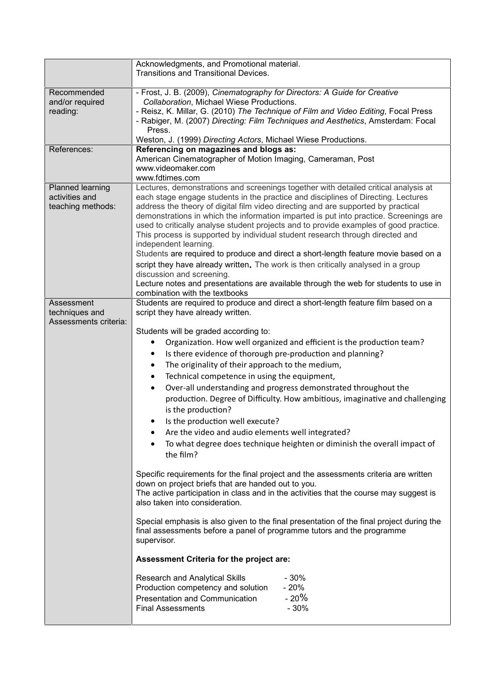|                                    | Acknowledgments, and Promotional material.                                                                                                                               |
|------------------------------------|--------------------------------------------------------------------------------------------------------------------------------------------------------------------------|
|                                    | Transitions and Transitional Devices.                                                                                                                                    |
|                                    |                                                                                                                                                                          |
| Recommended<br>and/or required     | - Frost, J. B. (2009), Cinematography for Directors: A Guide for Creative<br>Collaboration, Michael Wiese Productions.                                                   |
| reading:                           | - Reisz, K. Millar, G. (2010) The Technique of Film and Video Editing, Focal Press                                                                                       |
|                                    | - Rabiger, M. (2007) Directing: Film Techniques and Aesthetics, Amsterdam: Focal                                                                                         |
|                                    | Press.                                                                                                                                                                   |
|                                    | Weston, J. (1999) Directing Actors, Michael Wiese Productions.                                                                                                           |
| References:                        | Referencing on magazines and blogs as:                                                                                                                                   |
|                                    | American Cinematographer of Motion Imaging, Cameraman, Post                                                                                                              |
|                                    | www.videomaker.com                                                                                                                                                       |
|                                    | www.fdtimes.com                                                                                                                                                          |
| Planned learning<br>activities and | Lectures, demonstrations and screenings together with detailed critical analysis at<br>each stage engage students in the practice and disciplines of Directing. Lectures |
| teaching methods:                  | address the theory of digital film video directing and are supported by practical                                                                                        |
|                                    | demonstrations in which the information imparted is put into practice. Screenings are                                                                                    |
|                                    | used to critically analyse student projects and to provide examples of good practice.                                                                                    |
|                                    | This process is supported by individual student research through directed and                                                                                            |
|                                    | independent learning.                                                                                                                                                    |
|                                    | Students are required to produce and direct a short-length feature movie based on a                                                                                      |
|                                    | script they have already written. The work is then critically analysed in a group                                                                                        |
|                                    | discussion and screening.<br>Lecture notes and presentations are available through the web for students to use in                                                        |
|                                    | combination with the textbooks                                                                                                                                           |
| Assessment                         | Students are required to produce and direct a short-length feature film based on a                                                                                       |
| techniques and                     | script they have already written.                                                                                                                                        |
| Assessments criteria:              |                                                                                                                                                                          |
|                                    | Students will be graded according to:                                                                                                                                    |
|                                    | Organization. How well organized and efficient is the production team?                                                                                                   |
|                                    | Is there evidence of thorough pre-production and planning?<br>$\bullet$                                                                                                  |
|                                    | The originality of their approach to the medium,<br>٠                                                                                                                    |
|                                    | Technical competence in using the equipment,<br>٠                                                                                                                        |
|                                    | Over-all understanding and progress demonstrated throughout the<br>$\bullet$                                                                                             |
|                                    | production. Degree of Difficulty. How ambitious, imaginative and challenging                                                                                             |
|                                    | is the production?                                                                                                                                                       |
|                                    | Is the production well execute?                                                                                                                                          |
|                                    | Are the video and audio elements well integrated?                                                                                                                        |
|                                    | To what degree does technique heighten or diminish the overall impact of<br>٠                                                                                            |
|                                    | the film?                                                                                                                                                                |
|                                    |                                                                                                                                                                          |
|                                    | Specific requirements for the final project and the assessments criteria are written                                                                                     |
|                                    | down on project briefs that are handed out to you.                                                                                                                       |
|                                    | The active participation in class and in the activities that the course may suggest is<br>also taken into consideration.                                                 |
|                                    |                                                                                                                                                                          |
|                                    | Special emphasis is also given to the final presentation of the final project during the                                                                                 |
|                                    | final assessments before a panel of programme tutors and the programme                                                                                                   |
|                                    | supervisor.                                                                                                                                                              |
|                                    |                                                                                                                                                                          |
|                                    | Assessment Criteria for the project are:                                                                                                                                 |
|                                    | $-30%$<br>Research and Analytical Skills                                                                                                                                 |
|                                    | $-20%$<br>Production competency and solution                                                                                                                             |
|                                    | $-20%$<br><b>Presentation and Communication</b>                                                                                                                          |
|                                    | $-30%$<br><b>Final Assessments</b>                                                                                                                                       |
|                                    |                                                                                                                                                                          |